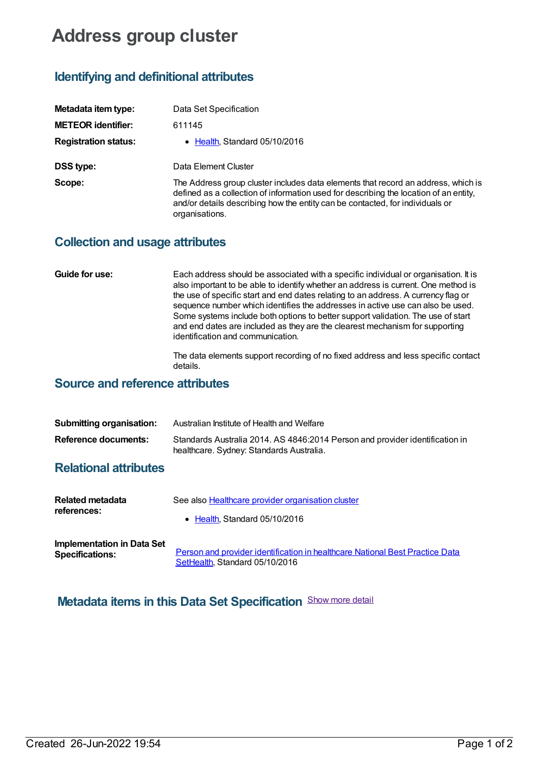# **Address group cluster**

# **Identifying and definitional attributes**

| Metadata item type:         | Data Set Specification                                                                                                                                                                                                                                                        |
|-----------------------------|-------------------------------------------------------------------------------------------------------------------------------------------------------------------------------------------------------------------------------------------------------------------------------|
| <b>METEOR identifier:</b>   | 611145                                                                                                                                                                                                                                                                        |
| <b>Registration status:</b> | • Health, Standard 05/10/2016                                                                                                                                                                                                                                                 |
| <b>DSS type:</b>            | Data Element Cluster                                                                                                                                                                                                                                                          |
| Scope:                      | The Address group cluster includes data elements that record an address, which is<br>defined as a collection of information used for describing the location of an entity,<br>and/or details describing how the entity can be contacted, for individuals or<br>organisations. |

#### **Collection and usage attributes**

#### **Guide for use:** Each address should be associated with a specific individual or organisation. It is also important to be able to identify whether an address is current. One method is the use of specific start and end dates relating to an address. A currency flag or sequence number which identifies the addresses in active use can also be used. Some systems include both options to better support validation. The use of start and end dates are included as they are the clearest mechanism for supporting identification and communication.

The data elements support recording of no fixed address and less specific contact details.

### **Source and reference attributes**

| <b>Submitting organisation:</b> | Australian Institute of Health and Welfare                                                                               |
|---------------------------------|--------------------------------------------------------------------------------------------------------------------------|
| Reference documents:            | Standards Australia 2014. AS 4846:2014 Person and provider identification in<br>healthcare. Sydney: Standards Australia. |

#### **Relational attributes**

| Related metadata                  | See also <b>Healthcare</b> provider organisation cluster                     |
|-----------------------------------|------------------------------------------------------------------------------|
| references:                       | • Health Standard 05/10/2016                                                 |
| <b>Implementation in Data Set</b> | Person and provider identification in healthcare National Best Practice Data |
| <b>Specifications:</b>            | SetHealth, Standard 05/10/2016                                               |

## **Metadata items in this Data Set Specification** Show more detail